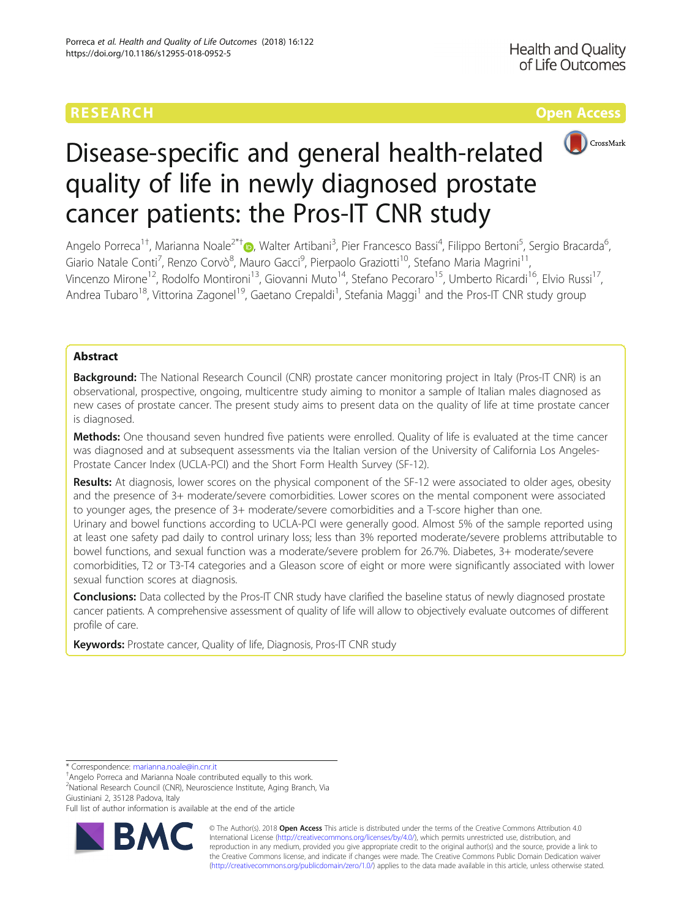## RESEARCH **RESEARCH CONSUMING THE CONSUMING TEACHER CONSUMING THE CONSUMING TEACHER CONSUMING THE CONSUMING TEACHER CONSUMING THE CONSUMING TEACHER CONSUMING THE CONSUMING TEACHER CONSUMING THE CONSUMING THE CONSUMING THE**



# Disease-specific and general health-related quality of life in newly diagnosed prostate cancer patients: the Pros-IT CNR study

Angelo Porreca<sup>1†</sup>, Marianna Noale<sup>2\*†</sup>®, Walter Artibani<sup>3</sup>, Pier Francesco Bassi<sup>4</sup>, Filippo Bertoni<sup>5</sup>, Sergio Bracarda<sup>6</sup> , Giario Natale Conti<sup>7</sup>, Renzo Corvò<sup>8</sup>, Mauro Gacci<sup>9</sup>, Pierpaolo Graziotti<sup>10</sup>, Stefano Maria Magrini<sup>11</sup>, Vincenzo Mirone<sup>12</sup>, Rodolfo Montironi<sup>13</sup>, Giovanni Muto<sup>14</sup>, Stefano Pecoraro<sup>15</sup>, Umberto Ricardi<sup>16</sup>, Elvio Russi<sup>17</sup>, Andrea Tubaro<sup>18</sup>, Vittorina Zagonel<sup>19</sup>, Gaetano Crepaldi<sup>1</sup>, Stefania Maggi<sup>1</sup> and the Pros-IT CNR study group

### Abstract

Background: The National Research Council (CNR) prostate cancer monitoring project in Italy (Pros-IT CNR) is an observational, prospective, ongoing, multicentre study aiming to monitor a sample of Italian males diagnosed as new cases of prostate cancer. The present study aims to present data on the quality of life at time prostate cancer is diagnosed.

Methods: One thousand seven hundred five patients were enrolled. Quality of life is evaluated at the time cancer was diagnosed and at subsequent assessments via the Italian version of the University of California Los Angeles-Prostate Cancer Index (UCLA-PCI) and the Short Form Health Survey (SF-12).

Results: At diagnosis, lower scores on the physical component of the SF-12 were associated to older ages, obesity and the presence of 3+ moderate/severe comorbidities. Lower scores on the mental component were associated to younger ages, the presence of 3+ moderate/severe comorbidities and a T-score higher than one. Urinary and bowel functions according to UCLA-PCI were generally good. Almost 5% of the sample reported using at least one safety pad daily to control urinary loss; less than 3% reported moderate/severe problems attributable to bowel functions, and sexual function was a moderate/severe problem for 26.7%. Diabetes, 3+ moderate/severe comorbidities, T2 or T3-T4 categories and a Gleason score of eight or more were significantly associated with lower sexual function scores at diagnosis.

Conclusions: Data collected by the Pros-IT CNR study have clarified the baseline status of newly diagnosed prostate cancer patients. A comprehensive assessment of quality of life will allow to objectively evaluate outcomes of different profile of care.

Keywords: Prostate cancer, Quality of life, Diagnosis, Pros-IT CNR study

\* Correspondence: [marianna.noale@in.cnr.it](mailto:marianna.noale@in.cnr.it) †

<sup>+</sup>Angelo Porreca and Marianna Noale contributed equally to this work. <sup>2</sup>National Research Council (CNR), Neuroscience Institute, Aging Branch, Via Giustiniani 2, 35128 Padova, Italy

Full list of author information is available at the end of the article



© The Author(s). 2018 Open Access This article is distributed under the terms of the Creative Commons Attribution 4.0 International License [\(http://creativecommons.org/licenses/by/4.0/](http://creativecommons.org/licenses/by/4.0/)), which permits unrestricted use, distribution, and reproduction in any medium, provided you give appropriate credit to the original author(s) and the source, provide a link to the Creative Commons license, and indicate if changes were made. The Creative Commons Public Domain Dedication waiver [\(http://creativecommons.org/publicdomain/zero/1.0/](http://creativecommons.org/publicdomain/zero/1.0/)) applies to the data made available in this article, unless otherwise stated.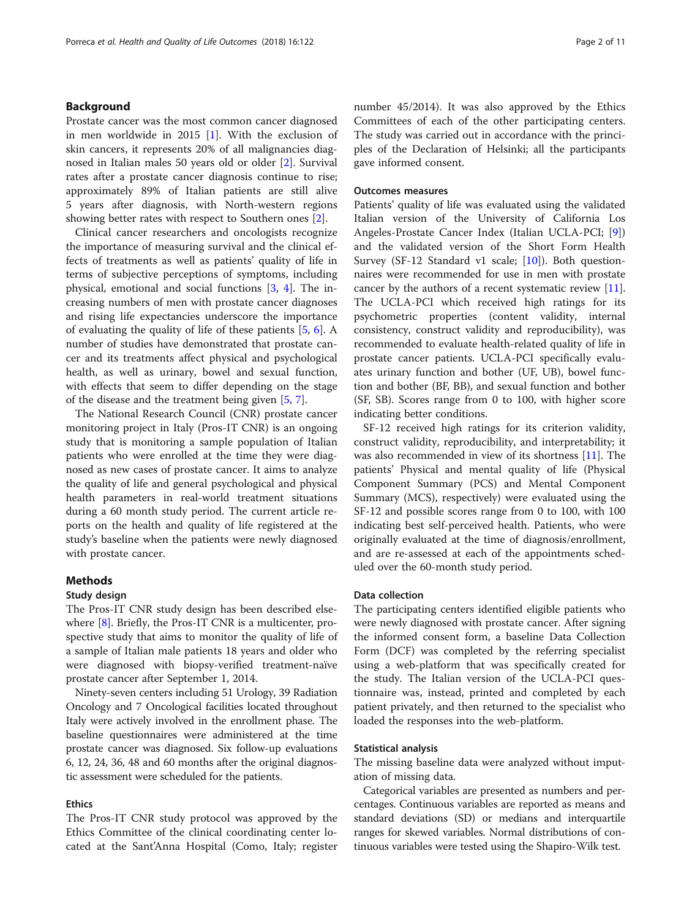#### Background

Prostate cancer was the most common cancer diagnosed in men worldwide in 2015 [[1](#page-9-0)]. With the exclusion of skin cancers, it represents 20% of all malignancies diagnosed in Italian males 50 years old or older [\[2](#page-10-0)]. Survival rates after a prostate cancer diagnosis continue to rise; approximately 89% of Italian patients are still alive 5 years after diagnosis, with North-western regions showing better rates with respect to Southern ones [[2\]](#page-10-0).

Clinical cancer researchers and oncologists recognize the importance of measuring survival and the clinical effects of treatments as well as patients' quality of life in terms of subjective perceptions of symptoms, including physical, emotional and social functions [[3,](#page-10-0) [4\]](#page-10-0). The increasing numbers of men with prostate cancer diagnoses and rising life expectancies underscore the importance of evaluating the quality of life of these patients [[5,](#page-10-0) [6](#page-10-0)]. A number of studies have demonstrated that prostate cancer and its treatments affect physical and psychological health, as well as urinary, bowel and sexual function, with effects that seem to differ depending on the stage of the disease and the treatment being given [\[5](#page-10-0), [7](#page-10-0)].

The National Research Council (CNR) prostate cancer monitoring project in Italy (Pros-IT CNR) is an ongoing study that is monitoring a sample population of Italian patients who were enrolled at the time they were diagnosed as new cases of prostate cancer. It aims to analyze the quality of life and general psychological and physical health parameters in real-world treatment situations during a 60 month study period. The current article reports on the health and quality of life registered at the study's baseline when the patients were newly diagnosed with prostate cancer.

#### Methods

#### Study design

The Pros-IT CNR study design has been described elsewhere [\[8](#page-10-0)]. Briefly, the Pros-IT CNR is a multicenter, prospective study that aims to monitor the quality of life of a sample of Italian male patients 18 years and older who were diagnosed with biopsy-verified treatment-naïve prostate cancer after September 1, 2014.

Ninety-seven centers including 51 Urology, 39 Radiation Oncology and 7 Oncological facilities located throughout Italy were actively involved in the enrollment phase. The baseline questionnaires were administered at the time prostate cancer was diagnosed. Six follow-up evaluations 6, 12, 24, 36, 48 and 60 months after the original diagnostic assessment were scheduled for the patients.

#### Ethics

The Pros-IT CNR study protocol was approved by the Ethics Committee of the clinical coordinating center located at the Sant'Anna Hospital (Como, Italy; register number 45/2014). It was also approved by the Ethics Committees of each of the other participating centers. The study was carried out in accordance with the principles of the Declaration of Helsinki; all the participants gave informed consent.

#### Outcomes measures

Patients' quality of life was evaluated using the validated Italian version of the University of California Los Angeles-Prostate Cancer Index (Italian UCLA-PCI; [\[9](#page-10-0)]) and the validated version of the Short Form Health Survey (SF-12 Standard v1 scale; [\[10\]](#page-10-0)). Both questionnaires were recommended for use in men with prostate cancer by the authors of a recent systematic review [\[11](#page-10-0)]. The UCLA-PCI which received high ratings for its psychometric properties (content validity, internal consistency, construct validity and reproducibility), was recommended to evaluate health-related quality of life in prostate cancer patients. UCLA-PCI specifically evaluates urinary function and bother (UF, UB), bowel function and bother (BF, BB), and sexual function and bother (SF, SB). Scores range from 0 to 100, with higher score indicating better conditions.

SF-12 received high ratings for its criterion validity, construct validity, reproducibility, and interpretability; it was also recommended in view of its shortness [\[11](#page-10-0)]. The patients' Physical and mental quality of life (Physical Component Summary (PCS) and Mental Component Summary (MCS), respectively) were evaluated using the SF-12 and possible scores range from 0 to 100, with 100 indicating best self-perceived health. Patients, who were originally evaluated at the time of diagnosis/enrollment, and are re-assessed at each of the appointments scheduled over the 60-month study period.

#### Data collection

The participating centers identified eligible patients who were newly diagnosed with prostate cancer. After signing the informed consent form, a baseline Data Collection Form (DCF) was completed by the referring specialist using a web-platform that was specifically created for the study. The Italian version of the UCLA-PCI questionnaire was, instead, printed and completed by each patient privately, and then returned to the specialist who loaded the responses into the web-platform.

#### Statistical analysis

The missing baseline data were analyzed without imputation of missing data.

Categorical variables are presented as numbers and percentages. Continuous variables are reported as means and standard deviations (SD) or medians and interquartile ranges for skewed variables. Normal distributions of continuous variables were tested using the Shapiro-Wilk test.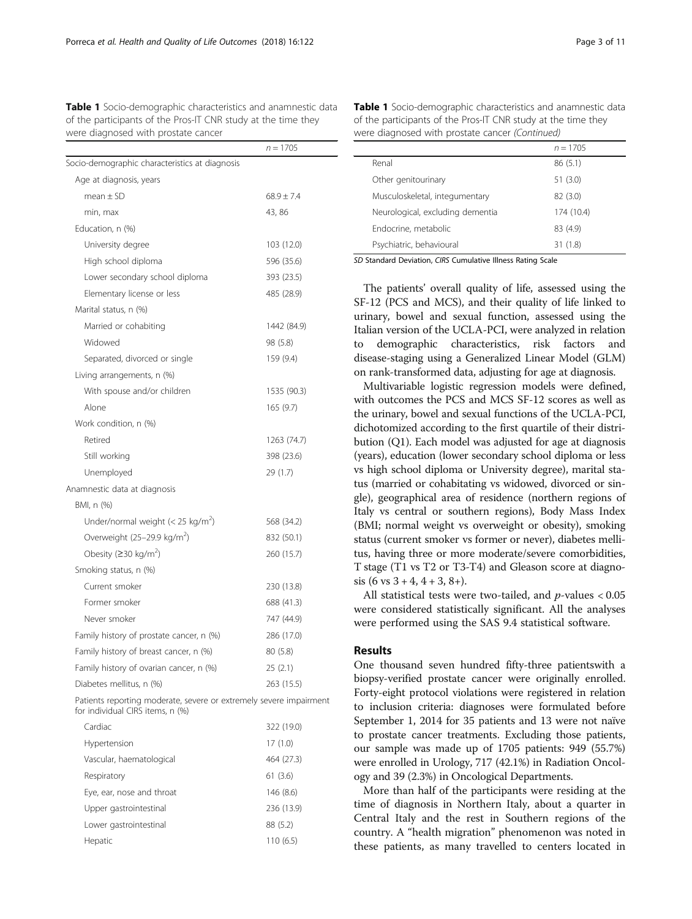<span id="page-2-0"></span>Table 1 Socio-demographic characteristics and anamnestic data of the participants of the Pros-IT CNR study at the time they were diagnosed with prostate cancer

|                                                | $n = 1705$     |
|------------------------------------------------|----------------|
| Socio-demographic characteristics at diagnosis |                |
| Age at diagnosis, years                        |                |
| $mean + SD$                                    | $68.9 \pm 7.4$ |
| min, max                                       | 43, 86         |
| Education, n (%)                               |                |
| University degree                              | 103 (12.0)     |
| High school diploma                            | 596 (35.6)     |
| Lower secondary school diploma                 | 393 (23.5)     |
| Elementary license or less                     | 485 (28.9)     |
| Marital status, n (%)                          |                |
| Married or cohabiting                          | 1442 (84.9)    |
| Widowed                                        | 98 (5.8)       |
| Separated, divorced or single                  | 159 (9.4)      |
| Living arrangements, n (%)                     |                |
| With spouse and/or children                    | 1535 (90.3)    |
| Alone                                          | 165(9.7)       |
| Work condition, n (%)                          |                |
| Retired                                        | 1263 (74.7)    |
| Still working                                  | 398 (23.6)     |
| Unemployed                                     | 29 (1.7)       |
| Anamnestic data at diagnosis                   |                |
| BMI, n (%)                                     |                |
| Under/normal weight (< 25 kg/m <sup>2</sup> )  | 568 (34.2)     |
| Overweight (25-29.9 kg/m <sup>2</sup> )        | 832 (50.1)     |
| Obesity (≥30 kg/m <sup>2</sup> )               | 260 (15.7)     |
| Smoking status, n (%)                          |                |
| Current smoker                                 | 230 (13.8)     |
| Former smoker                                  | 688 (41.3)     |
| Never smoker                                   | 747 (44.9)     |
| Family history of prostate cancer, n (%)       | 286 (17.0)     |
| Family history of breast cancer, n (%)         | 80 (5.8)       |
| Family history of ovarian cancer, n (%)        | 25(2.1)        |
| Diabetes mellitus, n (%)                       | 263 (15.5)     |

Patients reporting moderate, severe or extremely severe impairment for individual CIRS items, n (%)

| Cardiac                   | 322 (19.0) |
|---------------------------|------------|
| Hypertension              | 17(1.0)    |
| Vascular, haematological  | 464 (27.3) |
| Respiratory               | 61(3.6)    |
| Eye, ear, nose and throat | 146 (8.6)  |
| Upper gastrointestinal    | 236 (13.9) |
| Lower gastrointestinal    | 88 (5.2)   |
| Hepatic                   | 110(6.5)   |

Table 1 Socio-demographic characteristics and anamnestic data of the participants of the Pros-IT CNR study at the time they were diagnosed with prostate cancer (Continued)

|                                  | $n = 1705$ |
|----------------------------------|------------|
| Renal                            | 86(5.1)    |
| Other genitourinary              | 51(3.0)    |
| Musculoskeletal, integumentary   | 82 (3.0)   |
| Neurological, excluding dementia | 174 (10.4) |
| Endocrine, metabolic             | 83 (4.9)   |
| Psychiatric, behavioural         | 31(1.8)    |
|                                  |            |

SD Standard Deviation, CIRS Cumulative Illness Rating Scale

The patients' overall quality of life, assessed using the SF-12 (PCS and MCS), and their quality of life linked to urinary, bowel and sexual function, assessed using the Italian version of the UCLA-PCI, were analyzed in relation to demographic characteristics, risk factors and disease-staging using a Generalized Linear Model (GLM) on rank-transformed data, adjusting for age at diagnosis.

Multivariable logistic regression models were defined, with outcomes the PCS and MCS SF-12 scores as well as the urinary, bowel and sexual functions of the UCLA-PCI, dichotomized according to the first quartile of their distribution (Q1). Each model was adjusted for age at diagnosis (years), education (lower secondary school diploma or less vs high school diploma or University degree), marital status (married or cohabitating vs widowed, divorced or single), geographical area of residence (northern regions of Italy vs central or southern regions), Body Mass Index (BMI; normal weight vs overweight or obesity), smoking status (current smoker vs former or never), diabetes mellitus, having three or more moderate/severe comorbidities, T stage (T1 vs T2 or T3-T4) and Gleason score at diagnosis  $(6 \text{ vs } 3 + 4, 4 + 3, 8 +)$ .

All statistical tests were two-tailed, and  $p$ -values < 0.05 were considered statistically significant. All the analyses were performed using the SAS 9.4 statistical software.

#### Results

One thousand seven hundred fifty-three patientswith a biopsy-verified prostate cancer were originally enrolled. Forty-eight protocol violations were registered in relation to inclusion criteria: diagnoses were formulated before September 1, 2014 for 35 patients and 13 were not naïve to prostate cancer treatments. Excluding those patients, our sample was made up of 1705 patients: 949 (55.7%) were enrolled in Urology, 717 (42.1%) in Radiation Oncology and 39 (2.3%) in Oncological Departments.

More than half of the participants were residing at the time of diagnosis in Northern Italy, about a quarter in Central Italy and the rest in Southern regions of the country. A "health migration" phenomenon was noted in these patients, as many travelled to centers located in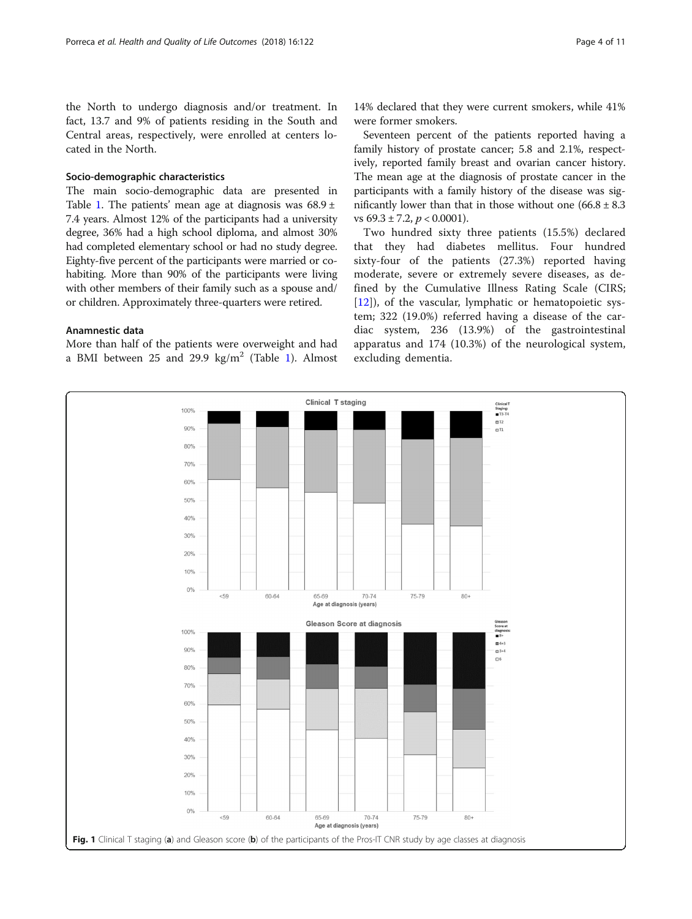<span id="page-3-0"></span>the North to undergo diagnosis and/or treatment. In fact, 13.7 and 9% of patients residing in the South and Central areas, respectively, were enrolled at centers located in the North.

#### Socio-demographic characteristics

The main socio-demographic data are presented in Table [1](#page-2-0). The patients' mean age at diagnosis was  $68.9 \pm$ 7.4 years. Almost 12% of the participants had a university degree, 36% had a high school diploma, and almost 30% had completed elementary school or had no study degree. Eighty-five percent of the participants were married or cohabiting. More than 90% of the participants were living with other members of their family such as a spouse and/ or children. Approximately three-quarters were retired.

#### Anamnestic data

More than half of the patients were overweight and had a BMI between 25 and 29.9  $\text{kg/m}^2$  (Table [1](#page-2-0)). Almost

14% declared that they were current smokers, while 41% were former smokers.

Seventeen percent of the patients reported having a family history of prostate cancer; 5.8 and 2.1%, respectively, reported family breast and ovarian cancer history. The mean age at the diagnosis of prostate cancer in the participants with a family history of the disease was significantly lower than that in those without one  $(66.8 \pm 8.3)$ vs  $69.3 \pm 7.2$ ,  $p < 0.0001$ ).

Two hundred sixty three patients (15.5%) declared that they had diabetes mellitus. Four hundred sixty-four of the patients (27.3%) reported having moderate, severe or extremely severe diseases, as defined by the Cumulative Illness Rating Scale (CIRS; [[12\]](#page-10-0)), of the vascular, lymphatic or hematopoietic system; 322 (19.0%) referred having a disease of the cardiac system, 236 (13.9%) of the gastrointestinal apparatus and 174 (10.3%) of the neurological system, excluding dementia.

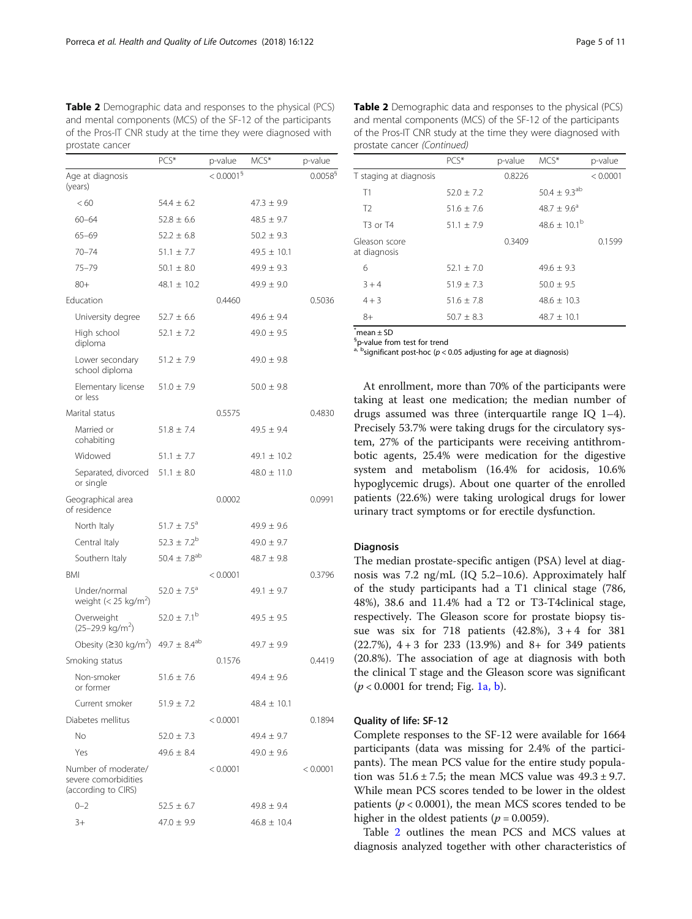Table 2 Demographic data and responses to the physical (PCS) and mental components (MCS) of the SF-12 of the participants of the Pros-IT CNR study at the time they were diagnosed with prostate cancer

|                                                                    | PCS*                         | p-value                  | MCS*            | p-value                |
|--------------------------------------------------------------------|------------------------------|--------------------------|-----------------|------------------------|
| Age at diagnosis<br>(years)                                        |                              | $< 0.0001^{\frac{6}{3}}$ |                 | $0.0058^{\frac{6}{3}}$ |
| < 60                                                               | $54.4 \pm 6.2$               |                          | $47.3 \pm 9.9$  |                        |
| $60 - 64$                                                          | $52.8 \pm 6.6$               |                          | $48.5 \pm 9.7$  |                        |
| $65 - 69$                                                          | $52.2 \pm 6.8$               |                          | $50.2 \pm 9.3$  |                        |
| $70 - 74$                                                          | $51.1 \pm 7.7$               |                          | $49.5 \pm 10.1$ |                        |
| $75 - 79$                                                          | $50.1 \pm 8.0$               |                          | $49.9 \pm 9.3$  |                        |
| $80+$                                                              | $48.1 \pm 10.2$              |                          | $49.9 \pm 9.0$  |                        |
| Education                                                          |                              | 0.4460                   |                 | 0.5036                 |
| University degree                                                  | $52.7 \pm 6.6$               |                          | $49.6 \pm 9.4$  |                        |
| High school<br>diploma                                             | $52.1 \pm 7.2$               |                          | $49.0 \pm 9.5$  |                        |
| Lower secondary<br>school diploma                                  | $51.2 \pm 7.9$               |                          | $49.0 \pm 9.8$  |                        |
| Elementary license<br>or less                                      | $51.0 \pm 7.9$               |                          | $50.0 \pm 9.8$  |                        |
| Marital status                                                     |                              | 0.5575                   |                 | 0.4830                 |
| Married or<br>cohabiting                                           | $51.8 \pm 7.4$               |                          | $49.5 \pm 9.4$  |                        |
| Widowed                                                            | $51.1 \pm 7.7$               |                          | $49.1 \pm 10.2$ |                        |
| Separated, divorced<br>or single                                   | $51.1 \pm 8.0$               |                          | $48.0 \pm 11.0$ |                        |
| Geographical area<br>of residence                                  |                              | 0.0002                   |                 | 0.0991                 |
| North Italy                                                        | $51.7 \pm 7.5^{\circ}$       |                          | $49.9 \pm 9.6$  |                        |
| Central Italy                                                      | 52.3 $\pm$ 7.2 <sup>b</sup>  |                          | $49.0 \pm 9.7$  |                        |
| Southern Italy                                                     | $50.4 \pm 7.8^{ab}$          |                          | $48.7 \pm 9.8$  |                        |
| <b>BMI</b>                                                         |                              | < 0.0001                 |                 | 0.3796                 |
| Under/normal<br>weight $(< 25 \text{ kg/m}^2)$                     | $52.0 \pm 7.5^{\circ}$       |                          | 49.1 $\pm$ 9.7  |                        |
| Overweight<br>$(25-29.9 \text{ kg/m}^2)$                           | 52.0 $\pm$ 7.1 <sup>b</sup>  |                          | $49.5 \pm 9.5$  |                        |
| Obesity ( $\geq$ 30 kg/m <sup>2</sup> )                            | 49.7 $\pm$ 8.4 <sup>ab</sup> |                          | $49.7 \pm 9.9$  |                        |
| Smoking status                                                     |                              | 0.1576                   |                 | 0.4419                 |
| Non-smoker<br>or former                                            | $51.6 \pm 7.6$               |                          | $49.4 \pm 9.6$  |                        |
| Current smoker                                                     | $51.9 \pm 7.2$               |                          | $48.4 \pm 10.1$ |                        |
| Diabetes mellitus                                                  |                              | < 0.0001                 |                 | 0.1894                 |
| No.                                                                | $52.0 \pm 7.3$               |                          | $49.4 \pm 9.7$  |                        |
| Yes                                                                | $49.6 \pm 8.4$               |                          | $49.0 \pm 9.6$  |                        |
| Number of moderate/<br>severe comorbidities<br>(according to CIRS) |                              | < 0.0001                 |                 | < 0.0001               |
| $0 - 2$                                                            | $52.5 \pm 6.7$               |                          | $49.8 \pm 9.4$  |                        |
| $3+$                                                               | $47.0 \pm 9.9$               |                          | $46.8 \pm 10.4$ |                        |

| <b>Table 2</b> Demographic data and responses to the physical (PCS) |
|---------------------------------------------------------------------|
| and mental components (MCS) of the SF-12 of the participants        |
| of the Pros-IT CNR study at the time they were diagnosed with       |
| prostate cancer (Continued)                                         |

|                               | $PCS*$         | p-value | MCS*                 | p-value  |
|-------------------------------|----------------|---------|----------------------|----------|
| T staging at diagnosis        |                | 0.8226  |                      | < 0.0001 |
| T1                            | $52.0 + 7.2$   |         | $50.4 \pm 9.3^{ab}$  |          |
| T <sub>2</sub>                | $51.6 + 7.6$   |         | $48.7 + 9.6^{\circ}$ |          |
| $T3$ or $T4$                  | $51.1 + 7.9$   |         | $48.6 + 10.1^b$      |          |
| Gleason score<br>at diagnosis |                | 0.3409  |                      | 0.1599   |
| 6                             | $52.1 + 7.0$   |         | $49.6 + 9.3$         |          |
| $3 + 4$                       | $51.9 + 7.3$   |         | $50.0 + 9.5$         |          |
| $4 + 3$                       | $51.6 + 7.8$   |         | $48.6 + 10.3$        |          |
| $8+$                          | $50.7 \pm 8.3$ |         | $48.7 \pm 10.1$      |          |

\* mean ± SD

§ p-value from test for trend  $a<sup>i</sup>$  bsignificant post-hoc ( $p < 0.05$  adjusting for age at diagnosis)

At enrollment, more than 70% of the participants were taking at least one medication; the median number of drugs assumed was three (interquartile range IQ 1–4). Precisely 53.7% were taking drugs for the circulatory system, 27% of the participants were receiving antithrombotic agents, 25.4% were medication for the digestive system and metabolism (16.4% for acidosis, 10.6% hypoglycemic drugs). About one quarter of the enrolled patients (22.6%) were taking urological drugs for lower urinary tract symptoms or for erectile dysfunction.

#### Diagnosis

The median prostate-specific antigen (PSA) level at diagnosis was 7.2 ng/mL (IQ 5.2–10.6). Approximately half of the study participants had a T1 clinical stage (786, 48%), 38.6 and 11.4% had a T2 or T3-T4clinical stage, respectively. The Gleason score for prostate biopsy tissue was six for 718 patients  $(42.8\%)$ ,  $3 + 4$  for 381 (22.7%), 4 + 3 for 233 (13.9%) and 8+ for 349 patients (20.8%). The association of age at diagnosis with both the clinical T stage and the Gleason score was significant  $(p < 0.0001$  for trend; Fig. [1a, b\)](#page-3-0).

#### Quality of life: SF-12

Complete responses to the SF-12 were available for 1664 participants (data was missing for 2.4% of the participants). The mean PCS value for the entire study population was  $51.6 \pm 7.5$ ; the mean MCS value was  $49.3 \pm 9.7$ . While mean PCS scores tended to be lower in the oldest patients ( $p < 0.0001$ ), the mean MCS scores tended to be higher in the oldest patients ( $p = 0.0059$ ).

Table 2 outlines the mean PCS and MCS values at diagnosis analyzed together with other characteristics of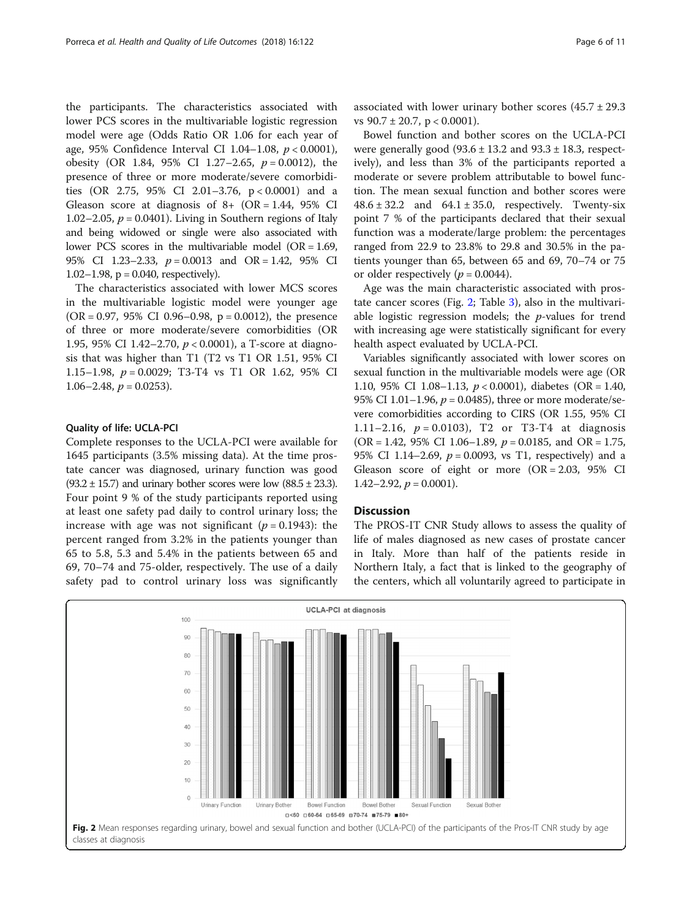the participants. The characteristics associated with lower PCS scores in the multivariable logistic regression model were age (Odds Ratio OR 1.06 for each year of age, 95% Confidence Interval CI 1.04–1.08,  $p < 0.0001$ ), obesity (OR 1.84, 95% CI 1.27-2.65,  $p = 0.0012$ ), the presence of three or more moderate/severe comorbidities (OR 2.75, 95% CI 2.01–3.76, p < 0.0001) and a Gleason score at diagnosis of  $8+$  (OR = 1.44, 95% CI) 1.02–2.05,  $p = 0.0401$ ). Living in Southern regions of Italy and being widowed or single were also associated with lower PCS scores in the multivariable model (OR = 1.69, 95% CI 1.23–2.33, p = 0.0013 and OR = 1.42, 95% CI 1.02–1.98,  $p = 0.040$ , respectively).

The characteristics associated with lower MCS scores in the multivariable logistic model were younger age (OR = 0.97, 95% CI 0.96–0.98, p = 0.0012), the presence of three or more moderate/severe comorbidities (OR 1.95, 95% CI 1.42–2.70, p < 0.0001), a T-score at diagnosis that was higher than T1 (T2 vs T1 OR 1.51, 95% CI 1.15–1.98, p = 0.0029; T3-T4 vs T1 OR 1.62, 95% CI 1.06–2.48,  $p = 0.0253$ ).

#### Quality of life: UCLA-PCI

Complete responses to the UCLA-PCI were available for 1645 participants (3.5% missing data). At the time prostate cancer was diagnosed, urinary function was good  $(93.2 \pm 15.7)$  and urinary bother scores were low  $(88.5 \pm 23.3)$ . Four point 9 % of the study participants reported using at least one safety pad daily to control urinary loss; the increase with age was not significant ( $p = 0.1943$ ): the percent ranged from 3.2% in the patients younger than 65 to 5.8, 5.3 and 5.4% in the patients between 65 and 69, 70–74 and 75-older, respectively. The use of a daily safety pad to control urinary loss was significantly associated with lower urinary bother scores  $(45.7 \pm 29.3)$ vs  $90.7 \pm 20.7$ , p < 0.0001).

Bowel function and bother scores on the UCLA-PCI were generally good  $(93.6 \pm 13.2 \text{ and } 93.3 \pm 18.3 \text{, respectively})$ ively), and less than 3% of the participants reported a moderate or severe problem attributable to bowel function. The mean sexual function and bother scores were  $48.6 \pm 32.2$  and  $64.1 \pm 35.0$ , respectively. Twenty-six point 7 % of the participants declared that their sexual function was a moderate/large problem: the percentages ranged from 22.9 to 23.8% to 29.8 and 30.5% in the patients younger than 65, between 65 and 69, 70–74 or 75 or older respectively ( $p = 0.0044$ ).

Age was the main characteristic associated with prostate cancer scores (Fig. 2; Table [3](#page-6-0)), also in the multivariable logistic regression models; the  $p$ -values for trend with increasing age were statistically significant for every health aspect evaluated by UCLA-PCI.

Variables significantly associated with lower scores on sexual function in the multivariable models were age (OR 1.10, 95% CI 1.08-1.13,  $p < 0.0001$ ), diabetes (OR = 1.40, 95% CI 1.01–1.96,  $p = 0.0485$ ), three or more moderate/severe comorbidities according to CIRS (OR 1.55, 95% CI 1.11–2.16,  $p = 0.0103$ , T2 or T3-T4 at diagnosis (OR = 1.42, 95% CI 1.06–1.89,  $p = 0.0185$ , and OR = 1.75, 95% CI 1.14–2.69,  $p = 0.0093$ , vs T1, respectively) and a Gleason score of eight or more  $(OR = 2.03, 95\%$  CI  $1.42 - 2.92$ ,  $p = 0.0001$ ).

#### **Discussion**

The PROS-IT CNR Study allows to assess the quality of life of males diagnosed as new cases of prostate cancer in Italy. More than half of the patients reside in Northern Italy, a fact that is linked to the geography of the centers, which all voluntarily agreed to participate in

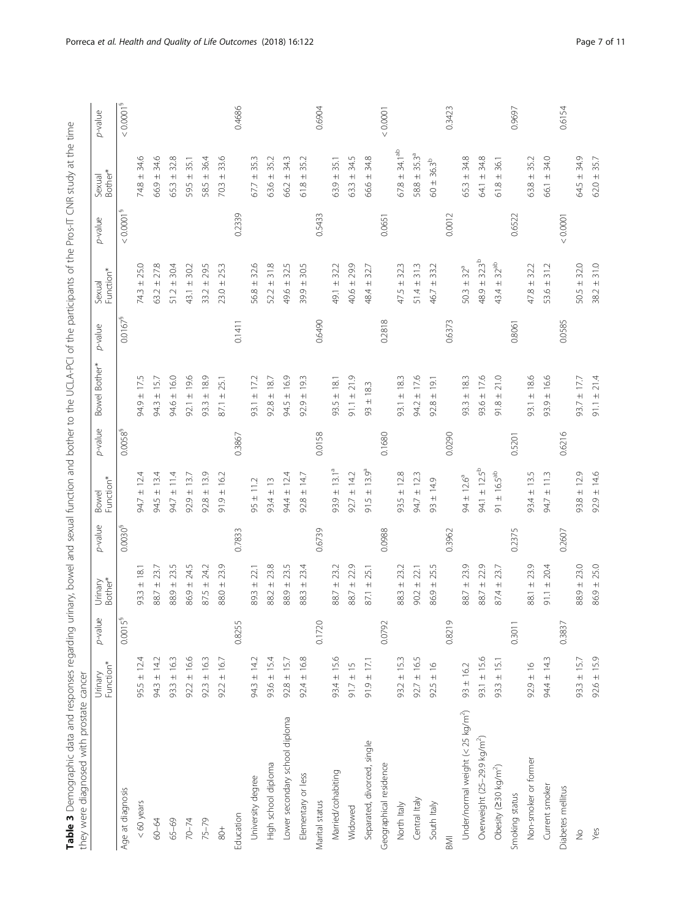| I<br>ļ<br>$\frac{1}{2}$<br>į                                      |                                                                  |
|-------------------------------------------------------------------|------------------------------------------------------------------|
|                                                                   |                                                                  |
| I                                                                 |                                                                  |
|                                                                   |                                                                  |
| $\ddot{\phantom{0}}$                                              |                                                                  |
| Í<br>5                                                            |                                                                  |
| ï                                                                 |                                                                  |
|                                                                   |                                                                  |
| $\frac{1}{1}$<br>$\overline{ }$                                   |                                                                  |
| I                                                                 |                                                                  |
| I<br>I                                                            |                                                                  |
| l                                                                 |                                                                  |
|                                                                   |                                                                  |
|                                                                   |                                                                  |
| i<br>1<br>$\overline{ }$                                          |                                                                  |
|                                                                   |                                                                  |
| $\frac{1}{3}$<br>j                                                |                                                                  |
| s<br>Cicli<br>ž<br>J                                              |                                                                  |
| ţ<br>j<br>١                                                       |                                                                  |
| i                                                                 |                                                                  |
| $\frac{1}{2}$<br>1<br>l                                           |                                                                  |
|                                                                   |                                                                  |
|                                                                   |                                                                  |
| Ĉ<br>١                                                            |                                                                  |
| $\ddot{\phantom{0}}$<br>i                                         |                                                                  |
| b<br>D<br>I<br>J<br>I<br>Ï                                        |                                                                  |
| $\overline{ }$                                                    |                                                                  |
| l<br>I<br>j                                                       |                                                                  |
| ì                                                                 |                                                                  |
|                                                                   |                                                                  |
| )<br>;<br>ł<br>l                                                  |                                                                  |
| j                                                                 |                                                                  |
| $\overline{a}$                                                    |                                                                  |
| l<br>١                                                            |                                                                  |
| $\overline{a}$<br>١                                               |                                                                  |
| I<br>١                                                            |                                                                  |
| i                                                                 |                                                                  |
| $\ddot{\phantom{a}}$<br>١                                         |                                                                  |
| ٦<br>j                                                            |                                                                  |
| $\ddot{\cdot}$<br>j                                               |                                                                  |
| Ï<br>i                                                            |                                                                  |
| Ī<br>٢                                                            |                                                                  |
| ļ<br>$\epsilon$<br>j                                              |                                                                  |
| I<br>$\ddot{\phantom{a}}$                                         |                                                                  |
|                                                                   |                                                                  |
|                                                                   |                                                                  |
|                                                                   |                                                                  |
| j<br>Ī<br>$\epsilon$<br>ļ                                         |                                                                  |
| int.                                                              |                                                                  |
| gu<br>$\mathbf{r}$                                                |                                                                  |
| i                                                                 |                                                                  |
| Ï<br>l<br>j<br>i<br>֖֖֖֪ׅ֪ׅ֪֪֪ׅ֖֚֚֚֚֚֚֚֚֚֚֚֚֚֚֚֚֚֚֚֬֝֝֝֝֝֝֝֝<br>١ |                                                                  |
| $\overline{\phantom{a}}$<br>l                                     |                                                                  |
|                                                                   |                                                                  |
| i<br>!                                                            | ؟<br>ک<br>j                                                      |
| ļ<br>J                                                            | $20 - 24 - 44 - 24$                                              |
| i<br>۱<br>J                                                       |                                                                  |
|                                                                   |                                                                  |
| j<br>j                                                            |                                                                  |
| i<br> <br>                                                        | j                                                                |
|                                                                   | l                                                                |
| .<br>ו                                                            |                                                                  |
|                                                                   | i<br>ļ                                                           |
| I<br>J<br>j<br>İ                                                  | i                                                                |
|                                                                   |                                                                  |
| j<br>l<br>١                                                       | l<br>$\overline{ }$<br>Ç<br>i                                    |
| l<br>i                                                            | ֺ֝֬֝֬֝<br>Í                                                      |
|                                                                   | ī<br>֖֖֖֖֖֖֧ׅׅ֚֚֚֚֚֚֚֚֚֚֚֚֚֚֚֚֚֚֚֚֚֚֚֚֬֝֟֓֡֞֡֓֞֡֡֡֓֡֬֓֞֬֓֞֓֬֝֓֞֬ |
| ι                                                                 | ļ<br>l                                                           |
| ١<br>I                                                            | $\ddot{\phantom{0}}$                                             |
| ć                                                                 | j<br>l                                                           |

<span id="page-6-0"></span>

|                                               | Function*<br>Urinary | $p$ -value          | Urinary<br>Bother*         | p-value      | Bowel<br>Function*                | p-value                | Bowel Bother*       | p-value      | Function*<br>Sexual                      | p-value               | Bother*<br>Sexual      | p-value                 |
|-----------------------------------------------|----------------------|---------------------|----------------------------|--------------|-----------------------------------|------------------------|---------------------|--------------|------------------------------------------|-----------------------|------------------------|-------------------------|
| Age at diagnosis                              |                      | 0.0015 <sup>5</sup> |                            | $0.0030^{5}$ |                                   | $0.0058^{\frac{5}{3}}$ |                     | $0.0167^{5}$ |                                          | < 0.0001 <sup>9</sup> |                        | $< 0.0001$ <sup>§</sup> |
| $< 60$ years                                  | $95.5 \pm 12.4$      |                     | $93.3 \pm 18.$             |              | ± 12.4<br>94.7                    |                        | $94.9 \pm 17.5$     |              | 25.0<br>74.3 ±                           |                       | ِ<br>34.<br>$74.8 \pm$ |                         |
| 60-64                                         | $94.3 \pm 14.2$      |                     | $88.7 \pm 23.7$            |              | $94.5 \pm 13.4$                   |                        | $94.3 \pm 15.7$     |              | 27.8<br>$63.2 \pm 1$                     |                       | 34,6<br>$66.9 \pm 1$   |                         |
| $65 - 69$                                     | $93.3 \pm 16.3$      |                     | $88.9 \pm 23.5$            |              | $94.7 \pm 11.4$                   |                        | 94.6 ± 16.0         |              | 30,4<br>$51.2 \pm$                       |                       | 32.8<br>$65.3 \pm 1$   |                         |
| $70 - 74$                                     | $92.2 \pm 16.6$      |                     | $86.9 \pm 24.5$            |              | $92.9 \pm 13.7$                   |                        | $92.1 \pm 19.6$     |              | 30.2<br>$43.1 \pm$                       |                       | 35.1<br>$+$<br>595     |                         |
| $75 - 79$                                     | $92.3 \pm 16.3$      |                     | 24.2<br>$87.5 \pm 7$       |              | $92.8 \pm 13.9$                   |                        | $93.3 \pm 18.9$     |              | Lņ<br>29.<br>$+$<br>33.2                 |                       | 36.4<br>$+$<br>58.5    |                         |
| $rac{+}{80}$                                  | $92.2 \pm 16.7$      |                     | O)<br>23.<br>88.0 ±        |              | $91.9 \pm 16.2$                   |                        | 25.1<br>$+$<br>87.1 |              | 25.3<br>$+$<br>23.0                      |                       | 33.6<br>$+$<br>70.3    |                         |
| Education                                     |                      | 0.8255              |                            | 0.7833       |                                   | 0.3867                 |                     | 0.1411       |                                          | 0.2339                |                        | 0.4686                  |
| University degree                             | $94.3 \pm 14.2$      |                     | 22.1<br>$89.3 \pm 7$       |              | $95 \pm 11.2$                     |                        | $93.1 \pm 17.2$     |              | ۱Q.<br>SS.<br>56.8 ±                     |                       | 35.3<br>$67.7 \pm 1$   |                         |
| High school diploma                           | $93.6 \pm 15.4$      |                     | $88.2 \pm 23.8$            |              | $93.4 \pm 13$                     |                        | $92.8 \pm 18.7$     |              | 31.8<br>$52.2 \pm$                       |                       | 35.2<br>$63.6 \pm 1$   |                         |
| Lower secondary school diploma                | $92.8 \pm 15.7$      |                     | LN.<br>23.<br>$88.9 \pm 1$ |              | $94.4 \pm 12.4$                   |                        | $94.5 \pm 16.9$     |              | Lŋ<br>$\approx$<br>49.6 ±                |                       | 343<br>66.2 ±          |                         |
| Elementary or less                            | $92.4 \pm 16.8$      |                     | 23.4<br>$+$<br>88.3        |              | $92.8 \pm 14.7$                   |                        | ± 19.3<br>92.9      |              | 30.5<br>$+$<br>39.9                      |                       | 35.2<br>$+$<br>61.8    |                         |
| Marital status                                |                      | 0.1720              |                            | 0.6739       |                                   | 0.0158                 |                     | 0.6490       |                                          | 0.5433                |                        | 0.6904                  |
| Married/cohabiting                            | $93.4 \pm 15.6$      |                     | $88.7 \pm 23.2$            |              | $93.9 \pm 13.1^a$                 |                        | $93.5 \pm 18.1$     |              | 32.2<br>49.1 ±                           |                       | 35.1<br>$63.9 \pm 1$   |                         |
| Widowed                                       | $91.7 \pm 15$        |                     | 22.9<br>$88.7 \pm 1$       |              | $92.7 \pm 14.2$                   |                        | $91.1 \pm 21.9$     |              | 29.9<br>40.6 ±                           |                       | 34.5<br>$63.3 \pm 1$   |                         |
| Separated, divorced, single                   | $91.9 \pm 17.1$      |                     | 25.1<br>$\pm$<br>87.1      |              | ± 13.9 <sup>a</sup><br>91.5       |                        | ± 18.3<br>93        |              | 32.7<br>$+$<br>48.4                      |                       | 34.8<br>66.6 ±         |                         |
| Geographical residence                        |                      | 0.0792              |                            | 0.0988       |                                   | 0.1680                 |                     | 0.2818       |                                          | 0.0651                |                        | 0.0001                  |
| North Italy                                   | $93.2 \pm 15.3$      |                     | Ņ<br>23.<br>$88.3 \pm 7$   |              | $93.5 \pm 12.8$                   |                        | $93.1 \pm 18.3$     |              | w<br>$\approx$<br>$\overline{+}$<br>47.5 |                       | $67.8 \pm 34.1^{ab}$   |                         |
| Central Italy                                 | $92.7 \pm 16.5$      |                     | $90.2 \pm 22.1$            |              | $94.7 \pm 12.3$                   |                        | $94.2 \pm 17.6$     |              | 31.3<br>$51.4 \pm$                       |                       | $58.8 \pm 35.3^a$      |                         |
| South Italy                                   | $92.5 \pm 16$        |                     | 25.5<br>$86.9 \pm 7$       |              | $93 \pm 14.9$                     |                        | ± 19.1<br>92.8      |              | 33.2<br>$+$<br>46.7                      |                       | $60 + 36.3^{b}$        |                         |
| $\overline{\mathbb{R}}$                       |                      | 0.8219              |                            | 0.3962       |                                   | 0.0290                 |                     | 0.6373       |                                          | 0.0012                |                        | 0.3423                  |
| Under/normal weight (< 25 kg/m <sup>2</sup> ) | $93 \pm 16.2$        |                     | O,<br>$88.7 \pm 23.$       |              | $94 \pm 12.6^a$                   |                        | $93.3 \pm 18.3$     |              | $50.3 \pm 32^{a}$                        |                       | 34.8<br>$65.3 \pm 1$   |                         |
| Overweight (25–29.9 kg/m <sup>2</sup> )       | $93.1 \pm 15.6$      |                     | 22.9<br>$88.7 \pm 1$       |              | $94.1 \pm 12.5^{b}$               |                        | $93.6 \pm 17.6$     |              | $32.3^b$<br>$48.9 +$                     |                       | 34.8<br>64.1 ±         |                         |
| Obesity (230 kg/m <sup>2</sup> )              | $93.3 \pm 15.1$      |                     | 23.7<br>$+$<br>87.4        |              | $\pm 16.5^{ab}$<br>$\overline{6}$ |                        | 21.0<br>$91.8 \pm$  |              | $32^{ab}$<br>$+$<br>43.4                 |                       | 36.1<br>$+$<br>61.8    |                         |
| Smoking status                                |                      | 0.301               |                            | 0.2375       |                                   | 0.5201                 |                     | 0.8061       |                                          | 0.6522                |                        | 0.9697                  |
| Non-smoker or former                          | $92.9 \pm 16$        |                     | O,<br>$88.1 \pm 23.$       |              | $93.4 \pm 13.5$                   |                        | $93.1 \pm 18.6$     |              | 32.2<br>$47.8 \pm$                       |                       | 35.2<br>$63.8 \pm 1$   |                         |
| Current smoker                                | $94.4 \pm 14.3$      |                     | 91.1 $\pm$ 20.4            |              | $94.7 \pm 11.3$                   |                        | $93.9 \pm 16.6$     |              | 312<br>$53.6 \pm$                        |                       | 34.0<br>66.1 ±         |                         |
| Diabetes mellitus                             |                      | 0.3837              |                            | 0.2607       |                                   | 0.6216                 |                     | 0.0585       |                                          | 0.0001                |                        | 0.6154                  |
| $\frac{1}{2}$                                 | $93.3 \pm 15.7$      |                     | $88.9 \pm 23.0$            |              | $93.8 \pm 12.9$                   |                        | $93.7 \pm 17.7$     |              | $50.5 \pm 32.0$                          |                       | $64.5 \pm 34.9$        |                         |
| Yes                                           | $92.6 \pm 15.9$      |                     | $86.9 \pm 25.0$            |              | $92.9 \pm 14.6$                   |                        | $91.1 \pm 21.4$     |              | $38.2 \pm 31.0$                          |                       | $62.0 \pm 35.7$        |                         |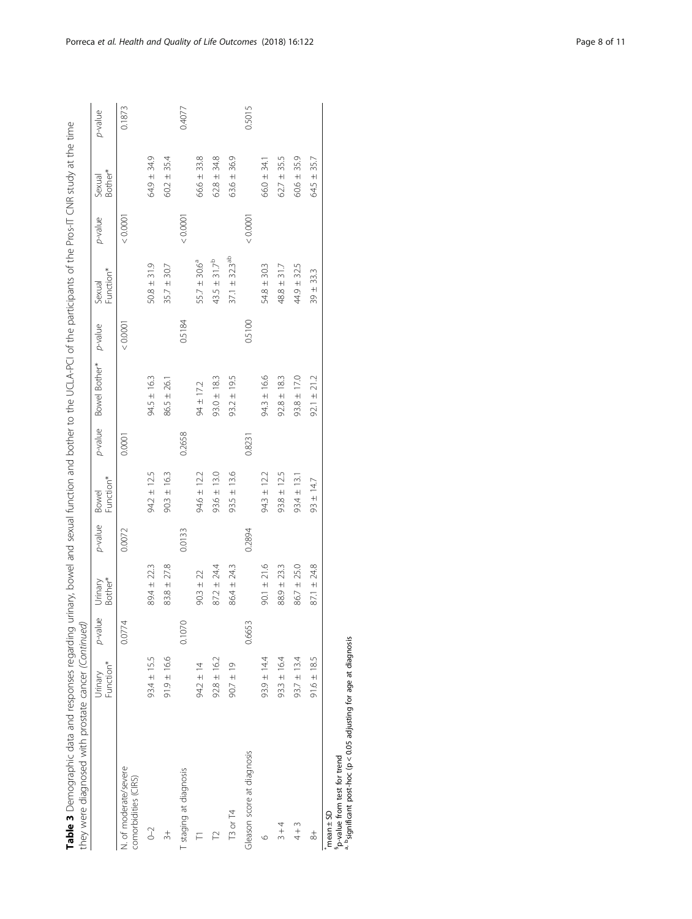|                                                                                                                                | Function*<br>Urinary | p-value | Bother*<br>Urinary | p-value | Function*<br><b>Bowel</b> | p-value | Bowel Bother*   | p-value | Function*<br>Sexual           | p-value | Bother*<br>Sexual | p-value |
|--------------------------------------------------------------------------------------------------------------------------------|----------------------|---------|--------------------|---------|---------------------------|---------|-----------------|---------|-------------------------------|---------|-------------------|---------|
| N. of moderate/severe<br>comorbidities (CIRS)                                                                                  |                      | 0.0774  |                    | 0.0072  |                           | 0.0001  |                 | 0.0001  |                               | 0.0001  |                   | 0.1873  |
| $0 - 2$                                                                                                                        | $93.4 \pm 15.5$      |         | 89.4 ± 22.3        |         | $94.2 \pm 12.5$           |         | $94.5 \pm 16.3$ |         | $50.8 \pm 31.9$               |         | $64.9 \pm 34.9$   |         |
| $\frac{1}{2}$                                                                                                                  | $91.9 \pm 16.6$      |         | $83.8 \pm 27.8$    |         | $90.3 \pm 16.3$           |         | $86.5 \pm 26.1$ |         | $35.7 \pm 30.7$               |         | $60.2 \pm 35.4$   |         |
| T staging at diagnosis                                                                                                         |                      | 0.1070  |                    | 0.0133  |                           | 0.2658  |                 | 0.5184  |                               | 0.0001  |                   | 0.4077  |
| F                                                                                                                              | $94.2 \pm 14$        |         | $90.3 \pm 22$      |         | $94.6 \pm 12.2$           |         | $94 \pm 17.2$   |         | $55.7 \pm 30.6^a$             |         | $66.6 \pm 33.8$   |         |
| <b>Z</b>                                                                                                                       | $92.8 \pm 16.2$      |         | $87.2 \pm 24.4$    |         | $93.6 \pm 13.0$           |         | $93.0 \pm 18.3$ |         | $43.5 \pm 31.7^{\circ}$       |         | $62.8 \pm 34.8$   |         |
| T3 or T4                                                                                                                       | $90.7 \pm 19$        |         | $86.4 \pm 24.3$    |         | $93.5 \pm 13.6$           |         | $93.2 \pm 19.5$ |         | $37.1 \pm 32.3$ <sup>ab</sup> |         | $63.6 \pm 36.9$   |         |
| Gleason score at diagnosis                                                                                                     |                      | 0.6653  |                    | 0.2894  |                           | 0.8231  |                 | 0.5100  |                               | 0.0001  |                   | 0.5015  |
| ७                                                                                                                              | $93.9 \pm 14.4$      |         | $90.1 \pm 21.6$    |         | $94.3 \pm 12.2$           |         | $94.3 \pm 16.6$ |         | $54.8 \pm 30.3$               |         | $66.0 \pm 34.1$   |         |
| $3 + 4$                                                                                                                        | $93.3 \pm 16.4$      |         | 23.3<br>88.9 ±     |         | $93.8 \pm 12.5$           |         | $92.8 \pm 18.3$ |         | 317<br>$48.8 \pm 1$           |         | $62.7 \pm 35.5$   |         |
| $4 + 3$                                                                                                                        | $93.7 \pm 13.4$      |         | $86.7 \pm 25.0$    |         | $93.4 \pm 13.1$           |         | $93.8 \pm 17.0$ |         | $44.9 \pm 32.5$               |         | $60.6 \pm 35.9$   |         |
| $\frac{4}{8}$                                                                                                                  | $91.6 \pm 18.5$      |         | $87.1 \pm 24.8$    |         | 93 ± 14.7                 |         | $92.1 \pm 21.2$ |         | $39 + 33.3$                   |         | $64.5 \pm 35.7$   |         |
| <sup>a, b</sup> significant post-hoc (p < 0.05 adjusting for age at diagnosis<br>"p-value from test for trend<br>$mean \pm SD$ |                      |         |                    |         |                           |         |                 |         |                               |         |                   |         |

 $\overline{C}$  $\dot{E}$ è  $\overline{f}$ j .<br>باء عب  $\begin{array}{c} 1 \mid C \mid A \mid D \mid C \end{array}$ 4 د<br>ب  $\frac{3}{2}$  $\frac{4}{1}$  $\frac{1}{2}$  $\frac{1}{2}$  $\tilde{\mathcal{L}}$  $\frac{2}{7}$  $\frac{1}{7}$  $\frac{1}{\tau}$ ت<br>م Č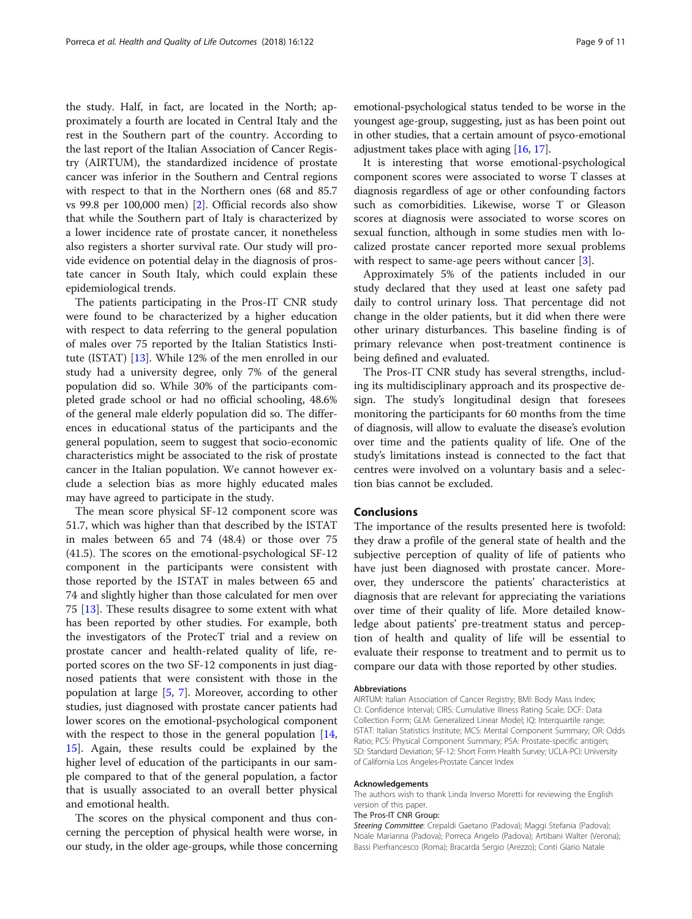the study. Half, in fact, are located in the North; approximately a fourth are located in Central Italy and the rest in the Southern part of the country. According to the last report of the Italian Association of Cancer Registry (AIRTUM), the standardized incidence of prostate cancer was inferior in the Southern and Central regions with respect to that in the Northern ones (68 and 85.7 vs 99.8 per 100,000 men) [[2\]](#page-10-0). Official records also show that while the Southern part of Italy is characterized by a lower incidence rate of prostate cancer, it nonetheless also registers a shorter survival rate. Our study will provide evidence on potential delay in the diagnosis of prostate cancer in South Italy, which could explain these epidemiological trends.

The patients participating in the Pros-IT CNR study were found to be characterized by a higher education with respect to data referring to the general population of males over 75 reported by the Italian Statistics Institute (ISTAT) [\[13](#page-10-0)]. While 12% of the men enrolled in our study had a university degree, only 7% of the general population did so. While 30% of the participants completed grade school or had no official schooling, 48.6% of the general male elderly population did so. The differences in educational status of the participants and the general population, seem to suggest that socio-economic characteristics might be associated to the risk of prostate cancer in the Italian population. We cannot however exclude a selection bias as more highly educated males may have agreed to participate in the study.

The mean score physical SF-12 component score was 51.7, which was higher than that described by the ISTAT in males between 65 and 74 (48.4) or those over 75 (41.5). The scores on the emotional-psychological SF-12 component in the participants were consistent with those reported by the ISTAT in males between 65 and 74 and slightly higher than those calculated for men over 75 [[13\]](#page-10-0). These results disagree to some extent with what has been reported by other studies. For example, both the investigators of the ProtecT trial and a review on prostate cancer and health-related quality of life, reported scores on the two SF-12 components in just diagnosed patients that were consistent with those in the population at large [[5,](#page-10-0) [7\]](#page-10-0). Moreover, according to other studies, just diagnosed with prostate cancer patients had lower scores on the emotional-psychological component with the respect to those in the general population [[14](#page-10-0), [15\]](#page-10-0). Again, these results could be explained by the higher level of education of the participants in our sample compared to that of the general population, a factor that is usually associated to an overall better physical and emotional health.

The scores on the physical component and thus concerning the perception of physical health were worse, in our study, in the older age-groups, while those concerning emotional-psychological status tended to be worse in the youngest age-group, suggesting, just as has been point out in other studies, that a certain amount of psyco-emotional adjustment takes place with aging [\[16,](#page-10-0) [17](#page-10-0)].

It is interesting that worse emotional-psychological component scores were associated to worse T classes at diagnosis regardless of age or other confounding factors such as comorbidities. Likewise, worse T or Gleason scores at diagnosis were associated to worse scores on sexual function, although in some studies men with localized prostate cancer reported more sexual problems with respect to same-age peers without cancer [\[3](#page-10-0)].

Approximately 5% of the patients included in our study declared that they used at least one safety pad daily to control urinary loss. That percentage did not change in the older patients, but it did when there were other urinary disturbances. This baseline finding is of primary relevance when post-treatment continence is being defined and evaluated.

The Pros-IT CNR study has several strengths, including its multidisciplinary approach and its prospective design. The study's longitudinal design that foresees monitoring the participants for 60 months from the time of diagnosis, will allow to evaluate the disease's evolution over time and the patients quality of life. One of the study's limitations instead is connected to the fact that centres were involved on a voluntary basis and a selection bias cannot be excluded.

#### **Conclusions**

The importance of the results presented here is twofold: they draw a profile of the general state of health and the subjective perception of quality of life of patients who have just been diagnosed with prostate cancer. Moreover, they underscore the patients' characteristics at diagnosis that are relevant for appreciating the variations over time of their quality of life. More detailed knowledge about patients' pre-treatment status and perception of health and quality of life will be essential to evaluate their response to treatment and to permit us to compare our data with those reported by other studies.

#### Abbreviations

AIRTUM: Italian Association of Cancer Registry; BMI: Body Mass Index; CI: Confidence Interval; CIRS: Cumulative Illness Rating Scale; DCF: Data Collection Form; GLM: Generalized Linear Model; IQ: Interquartile range; ISTAT: Italian Statistics Institute; MCS: Mental Component Summary; OR: Odds Ratio; PCS: Physical Component Summary; PSA: Prostate-specific antigen; SD: Standard Deviation; SF-12: Short Form Health Survey; UCLA-PCI: University of California Los Angeles-Prostate Cancer Index

#### Acknowledgements

The authors wish to thank Linda Inverso Moretti for reviewing the English version of this paper.

The Pros-IT CNR Group:

Steering Committee: Crepaldi Gaetano (Padova); Maggi Stefania (Padova); Noale Marianna (Padova); Porreca Angelo (Padova); Artibani Walter (Verona); Bassi Pierfrancesco (Roma); Bracarda Sergio (Arezzo); Conti Giario Natale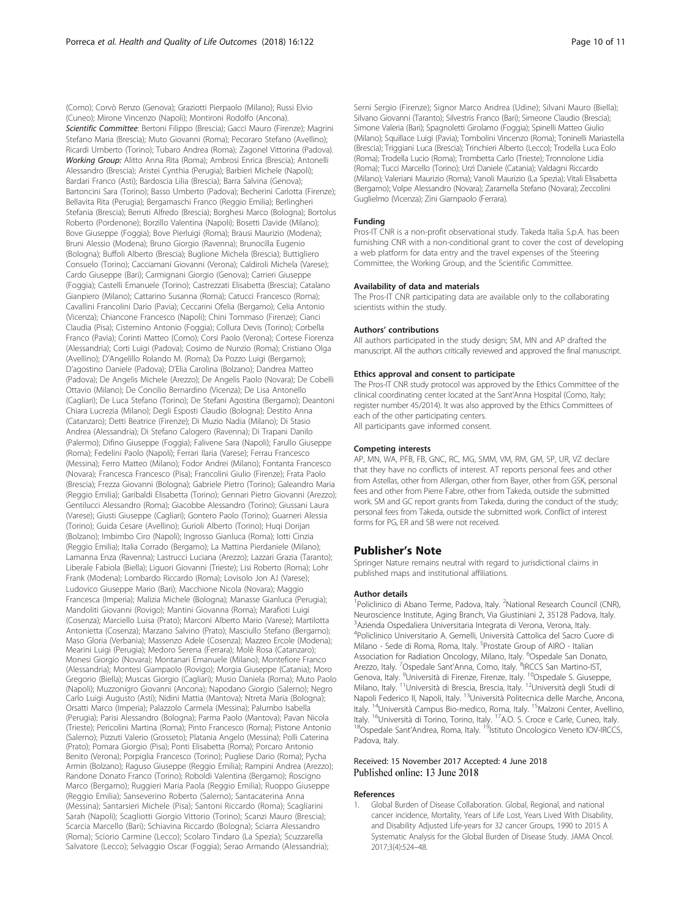<span id="page-9-0"></span>(Como); Corvò Renzo (Genova); Graziotti Pierpaolo (Milano); Russi Elvio (Cuneo); Mirone Vincenzo (Napoli); Montironi Rodolfo (Ancona). Scientific Committee: Bertoni Filippo (Brescia); Gacci Mauro (Firenze); Magrini Stefano Maria (Brescia); Muto Giovanni (Roma); Pecoraro Stefano (Avellino); Ricardi Umberto (Torino); Tubaro Andrea (Roma); Zagonel Vittorina (Padova). Working Group: Alitto Anna Rita (Roma); Ambrosi Enrica (Brescia); Antonelli Alessandro (Brescia); Aristei Cynthia (Perugia); Barbieri Michele (Napoli); Bardari Franco (Asti); Bardoscia Lilia (Brescia); Barra Salvina (Genova); Bartoncini Sara (Torino); Basso Umberto (Padova); Becherini Carlotta (Firenze); Bellavita Rita (Perugia); Bergamaschi Franco (Reggio Emilia); Berlingheri Stefania (Brescia); Berruti Alfredo (Brescia); Borghesi Marco (Bologna); Bortolus Roberto (Pordenone); Borzillo Valentina (Napoli); Bosetti Davide (Milano); Bove Giuseppe (Foggia); Bove Pierluigi (Roma); Brausi Maurizio (Modena); Bruni Alessio (Modena); Bruno Giorgio (Ravenna); Brunocilla Eugenio (Bologna); Buffoli Alberto (Brescia); Buglione Michela (Brescia); Buttigliero Consuelo (Torino); Cacciamani Giovanni (Verona); Caldiroli Michela (Varese); Cardo Giuseppe (Bari); Carmignani Giorgio (Genova); Carrieri Giuseppe (Foggia); Castelli Emanuele (Torino); Castrezzati Elisabetta (Brescia); Catalano Gianpiero (Milano); Cattarino Susanna (Roma); Catucci Francesco (Roma); Cavallini Francolini Dario (Pavia); Ceccarini Ofelia (Bergamo); Celia Antonio (Vicenza); Chiancone Francesco (Napoli); Chini Tommaso (Firenze); Cianci Claudia (Pisa); Cisternino Antonio (Foggia); Collura Devis (Torino); Corbella Franco (Pavia); Corinti Matteo (Como); Corsi Paolo (Verona); Cortese Fiorenza (Alessandria); Corti Luigi (Padova); Cosimo de Nunzio (Roma); Cristiano Olga (Avellino); D'Angelillo Rolando M. (Roma); Da Pozzo Luigi (Bergamo); D'agostino Daniele (Padova); D'Elia Carolina (Bolzano); Dandrea Matteo (Padova); De Angelis Michele (Arezzo); De Angelis Paolo (Novara); De Cobelli Ottavio (Milano); De Concilio Bernardino (Vicenza); De Lisa Antonello (Cagliari); De Luca Stefano (Torino); De Stefani Agostina (Bergamo); Deantoni Chiara Lucrezia (Milano); Degli Esposti Claudio (Bologna); Destito Anna (Catanzaro); Detti Beatrice (Firenze); Di Muzio Nadia (Milano); Di Stasio Andrea (Alessandria); Di Stefano Calogero (Ravenna); Di Trapani Danilo (Palermo); Difino Giuseppe (Foggia); Falivene Sara (Napoli); Farullo Giuseppe (Roma); Fedelini Paolo (Napoli); Ferrari Ilaria (Varese); Ferrau Francesco (Messina); Ferro Matteo (Milano); Fodor Andrei (Milano); Fontanta Francesco (Novara); Francesca Francesco (Pisa); Francolini Giulio (Firenze); Frata Paolo (Brescia); Frezza Giovanni (Bologna); Gabriele Pietro (Torino); Galeandro Maria (Reggio Emilia); Garibaldi Elisabetta (Torino); Gennari Pietro Giovanni (Arezzo); Gentilucci Alessandro (Roma); Giacobbe Alessandro (Torino); Giussani Laura (Varese); Giusti Giuseppe (Cagliari); Gontero Paolo (Torino); Guarneri Alessia (Torino); Guida Cesare (Avellino); Gurioli Alberto (Torino); Huqi Dorijan (Bolzano); Imbimbo Ciro (Napoli); Ingrosso Gianluca (Roma); Iotti Cinzia (Reggio Emilia); Italia Corrado (Bergamo); La Mattina Pierdaniele (Milano); Lamanna Enza (Ravenna); Lastrucci Luciana (Arezzo); Lazzari Grazia (Taranto); Liberale Fabiola (Biella); Liguori Giovanni (Trieste); Lisi Roberto (Roma); Lohr Frank (Modena); Lombardo Riccardo (Roma); Lovisolo Jon AJ (Varese); Ludovico Giuseppe Mario (Bari); Macchione Nicola (Novara); Maggio Francesca (Imperia); Malizia Michele (Bologna); Manasse Gianluca (Perugia); Mandoliti Giovanni (Rovigo); Mantini Giovanna (Roma); Marafioti Luigi (Cosenza); Marciello Luisa (Prato); Marconi Alberto Mario (Varese); Martilotta Antonietta (Cosenza); Marzano Salvino (Prato); Masciullo Stefano (Bergamo); Maso Gloria (Verbania); Massenzo Adele (Cosenza); Mazzeo Ercole (Modena); Mearini Luigi (Perugia); Medoro Serena (Ferrara); Molè Rosa (Catanzaro); Monesi Giorgio (Novara); Montanari Emanuele (Milano); Montefiore Franco (Alessandria); Montesi Giampaolo (Rovigo); Morgia Giuseppe (Catania); Moro Gregorio (Biella); Muscas Giorgio (Cagliari); Musio Daniela (Roma); Muto Paolo (Napoli); Muzzonigro Giovanni (Ancona); Napodano Giorgio (Salerno); Negro Carlo Luigi Augusto (Asti); Nidini Mattia (Mantova); Ntreta Maria (Bologna); Orsatti Marco (Imperia); Palazzolo Carmela (Messina); Palumbo Isabella (Perugia); Parisi Alessandro (Bologna); Parma Paolo (Mantova); Pavan Nicola (Trieste); Pericolini Martina (Roma); Pinto Francesco (Roma); Pistone Antonio (Salerno); Pizzuti Valerio (Grosseto); Platania Angelo (Messina); Polli Caterina (Prato); Pomara Giorgio (Pisa); Ponti Elisabetta (Roma); Porcaro Antonio Benito (Verona); Porpiglia Francesco (Torino); Pugliese Dario (Roma); Pycha Armin (Bolzano); Raguso Giuseppe (Reggio Emilia); Rampini Andrea (Arezzo); Randone Donato Franco (Torino); Roboldi Valentina (Bergamo); Roscigno Marco (Bergamo); Ruggieri Maria Paola (Reggio Emilia); Ruoppo Giuseppe (Reggio Emilia); Sanseverino Roberto (Salerno); Santacaterina Anna (Messina); Santarsieri Michele (Pisa); Santoni Riccardo (Roma); Scagliarini Sarah (Napoli); Scagliotti Giorgio Vittorio (Torino); Scanzi Mauro (Brescia); Scarcia Marcello (Bari); Schiavina Riccardo (Bologna); Sciarra Alessandro (Roma); Sciorio Carmine (Lecco); Scolaro Tindaro (La Spezia); Scuzzarella Salvatore (Lecco); Selvaggio Oscar (Foggia); Serao Armando (Alessandria);

Serni Sergio (Firenze); Signor Marco Andrea (Udine); Silvani Mauro (Biella); Silvano Giovanni (Taranto); Silvestris Franco (Bari); Simeone Claudio (Brescia); Simone Valeria (Bari); Spagnoletti Girolamo (Foggia); Spinelli Matteo Giulio (Milano); Squillace Luigi (Pavia); Tombolini Vincenzo (Roma); Toninelli Mariastella (Brescia); Triggiani Luca (Brescia); Trinchieri Alberto (Lecco); Trodella Luca Eolo (Roma); Trodella Lucio (Roma); Trombetta Carlo (Trieste); Tronnolone Lidia (Roma); Tucci Marcello (Torino); Urzì Daniele (Catania); Valdagni Riccardo (Milano); Valeriani Maurizio (Roma); Vanoli Maurizio (La Spezia); Vitali Elisabetta (Bergamo); Volpe Alessandro (Novara); Zaramella Stefano (Novara); Zeccolini Guglielmo (Vicenza); Zini Giampaolo (Ferrara).

#### Funding

Pros-IT CNR is a non-profit observational study. Takeda Italia S.p.A. has been furnishing CNR with a non-conditional grant to cover the cost of developing a web platform for data entry and the travel expenses of the Steering Committee, the Working Group, and the Scientific Committee.

#### Availability of data and materials

The Pros-IT CNR participating data are available only to the collaborating scientists within the study.

#### Authors' contributions

All authors participated in the study design; SM, MN and AP drafted the manuscript. All the authors critically reviewed and approved the final manuscript.

#### Ethics approval and consent to participate

The Pros-IT CNR study protocol was approved by the Ethics Committee of the clinical coordinating center located at the Sant'Anna Hospital (Como, Italy; register number 45/2014). It was also approved by the Ethics Committees of each of the other participating centers. All participants gave informed consent.

#### Competing interests

AP, MN, WA, PFB, FB, GNC, RC, MG, SMM, VM, RM, GM, SP, UR, VZ declare that they have no conflicts of interest. AT reports personal fees and other from Astellas, other from Allergan, other from Bayer, other from GSK, personal fees and other from Pierre Fabre, other from Takeda, outside the submitted work. SM and GC report grants from Takeda, during the conduct of the study; personal fees from Takeda, outside the submitted work. Conflict of interest forms for PG, ER and SB were not received.

#### Publisher's Note

Springer Nature remains neutral with regard to jurisdictional claims in published maps and institutional affiliations.

#### Author details

<sup>1</sup>Policlinico di Abano Terme, Padova, Italy. <sup>2</sup>National Research Council (CNR) Neuroscience Institute, Aging Branch, Via Giustiniani 2, 35128 Padova, Italy. 3 Azienda Ospedaliera Universitaria Integrata di Verona, Verona, Italy. 4 Policlinico Universitario A. Gemelli, Università Cattolica del Sacro Cuore di Milano - Sede di Roma, Roma, Italy. <sup>5</sup>Prostate Group of AIRO - Italian Association for Radiation Oncology, Milano, Italy. <sup>6</sup>Ospedale San Donato Arezzo, Italy. <sup>7</sup>Ospedale Sant'Anna, Como, Italy. <sup>8</sup>IRCCS San Martino-IST Genova, Italy. <sup>9</sup>Università di Firenze, Firenze, Italy. <sup>10</sup>Ospedale S. Giuseppe, Milano, Italy. <sup>11</sup>Università di Brescia, Brescia, Italy. <sup>12</sup>Università degli Studi di Napoli Federico II, Napoli, Italy. <sup>13</sup>Università Politecnica delle Marche, Ancona, Italy. <sup>14</sup>Università Campus Bio-medico, Roma, Italy. <sup>15</sup>Malzoni Center, Avellino, Italy. <sup>16</sup>Università di Torino, Torino, Italy. <sup>17</sup>A.O. S. Croce e Carle, Cuneo, Italy. <sup>18</sup>Ospedale Sant'Andrea, Roma, Italy. <sup>19</sup>Istituto Oncologico Veneto IOV-IRCCS, Padova, Italy.

#### Received: 15 November 2017 Accepted: 4 June 2018 Published online: 13 June 2018

#### References

1. Global Burden of Disease Collaboration. Global, Regional, and national cancer incidence, Mortality, Years of Life Lost, Years Lived With Disability, and Disability Adjusted Life-years for 32 cancer Groups, 1990 to 2015 A Systematic Analysis for the Global Burden of Disease Study. JAMA Oncol. 2017;3(4):524–48.